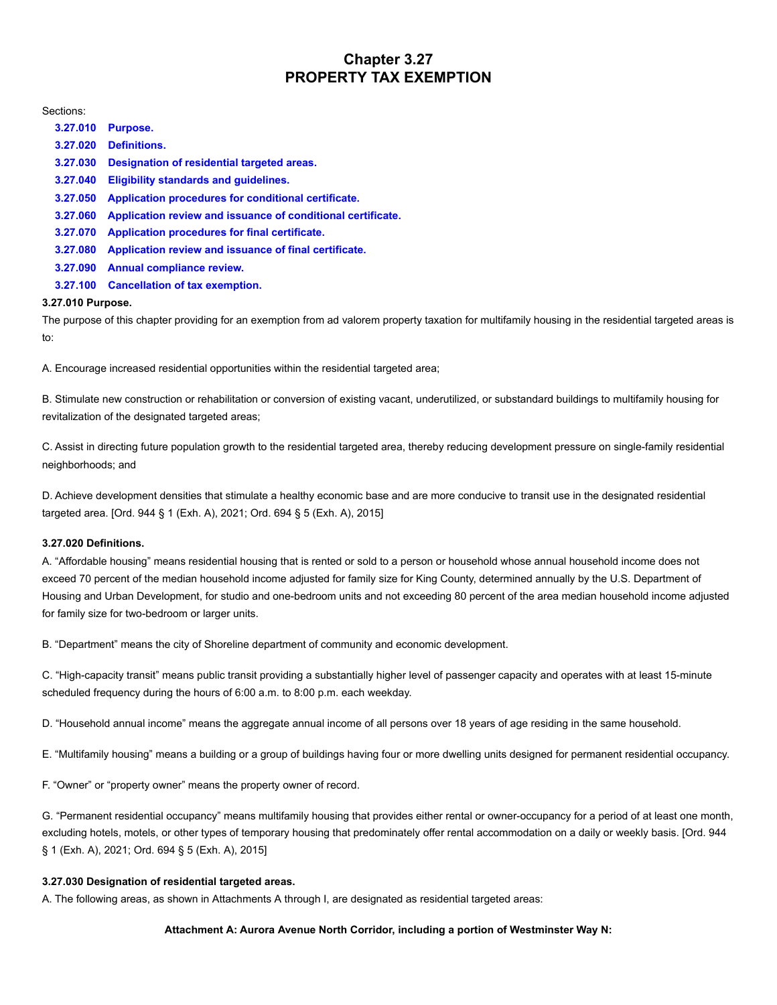# **Chapter 3.27 PROPERTY TAX EXEMPTION**

Sections:

| 3.27.010 | Purpose.                                                    |
|----------|-------------------------------------------------------------|
| 3.27.020 | <b>Definitions.</b>                                         |
| 3.27.030 | Designation of residential targeted areas.                  |
| 3.27.040 | Eligibility standards and quidelines.                       |
| 3.27.050 | Application procedures for conditional certificate.         |
| 3.27.060 | Application review and issuance of conditional certificate. |
| 3.27.070 | Application procedures for final certificate.               |
| 3.27.080 | Application review and issuance of final certificate.       |
| 3.27.090 | <b>Annual compliance review.</b>                            |
| 3.27.100 | <b>Cancellation of tax exemption.</b>                       |

## <span id="page-0-0"></span>**3.27.010 Purpose.**

The purpose of this chapter providing for an exemption from ad valorem property taxation for multifamily housing in the residential targeted areas is to:

A. Encourage increased residential opportunities within the residential targeted area;

B. Stimulate new construction or rehabilitation or conversion of existing vacant, underutilized, or substandard buildings to multifamily housing for revitalization of the designated targeted areas;

C. Assist in directing future population growth to the residential targeted area, thereby reducing development pressure on single-family residential neighborhoods; and

D. Achieve development densities that stimulate a healthy economic base and are more conducive to transit use in the designated residential targeted area. [Ord. 944 § 1 (Exh. A), 2021; Ord. 694 § 5 (Exh. A), 2015]

# <span id="page-0-1"></span>**3.27.020 Definitions.**

A. "Affordable housing" means residential housing that is rented or sold to a person or household whose annual household income does not exceed 70 percent of the median household income adjusted for family size for King County, determined annually by the U.S. Department of Housing and Urban Development, for studio and one-bedroom units and not exceeding 80 percent of the area median household income adjusted for family size for two-bedroom or larger units.

B. "Department" means the city of Shoreline department of community and economic development.

C. "High-capacity transit" means public transit providing a substantially higher level of passenger capacity and operates with at least 15-minute scheduled frequency during the hours of 6:00 a.m. to 8:00 p.m. each weekday.

D. "Household annual income" means the aggregate annual income of all persons over 18 years of age residing in the same household.

E. "Multifamily housing" means a building or a group of buildings having four or more dwelling units designed for permanent residential occupancy.

F. "Owner" or "property owner" means the property owner of record.

G. "Permanent residential occupancy" means multifamily housing that provides either rental or owner-occupancy for a period of at least one month, excluding hotels, motels, or other types of temporary housing that predominately offer rental accommodation on a daily or weekly basis. [Ord. 944 § 1 (Exh. A), 2021; Ord. 694 § 5 (Exh. A), 2015]

# <span id="page-0-2"></span>**3.27.030 Designation of residential targeted areas.**

A. The following areas, as shown in Attachments A through I, are designated as residential targeted areas:

## **Attachment A: Aurora Avenue North Corridor, including a portion of Westminster Way N:**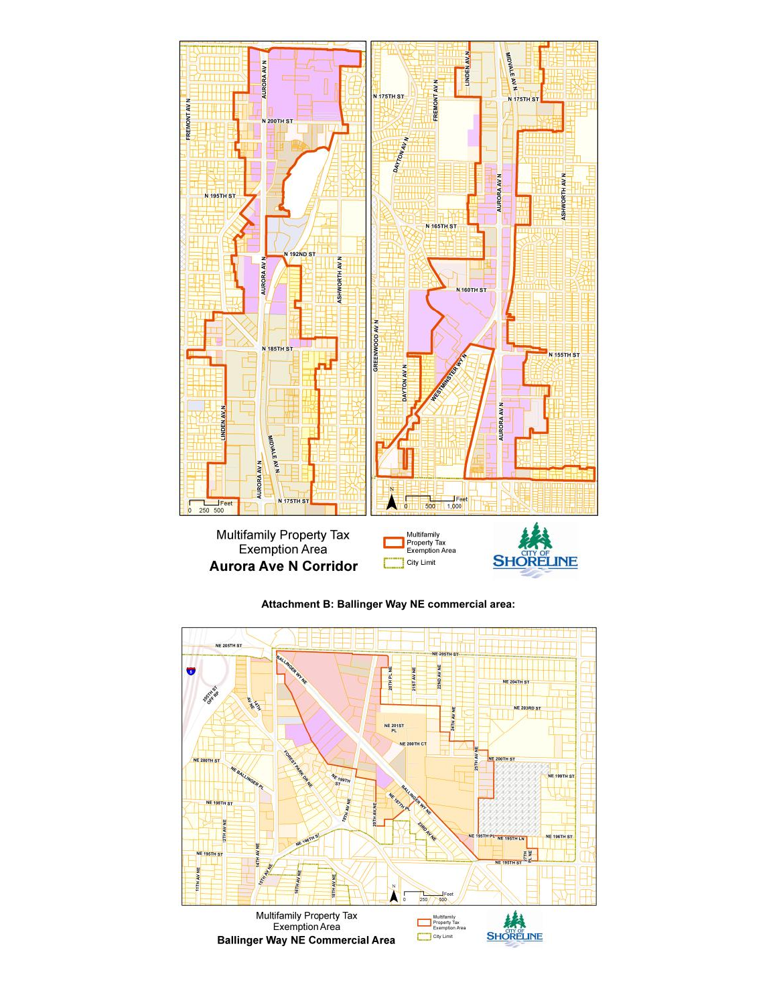

**Attachment B: Ballinger Way NE commercial area:**

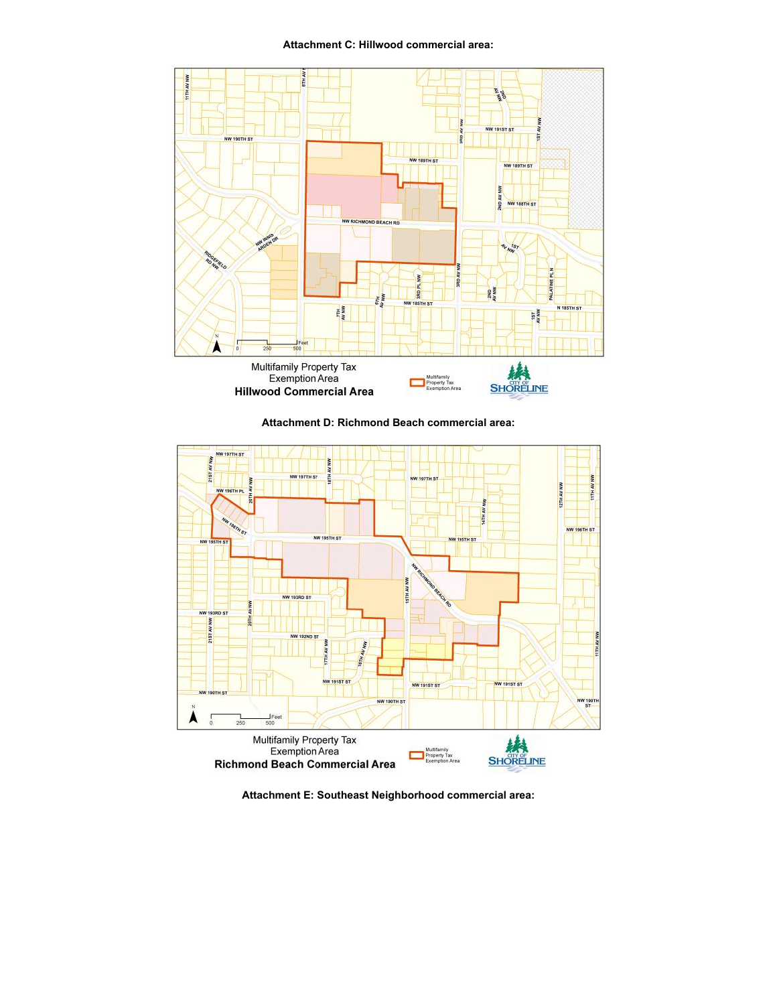**Attachment C: Hillwood commercial area:**



**Attachment D: Richmond Beach commercial area:**



**Attachment E: Southeast Neighborhood commercial area:**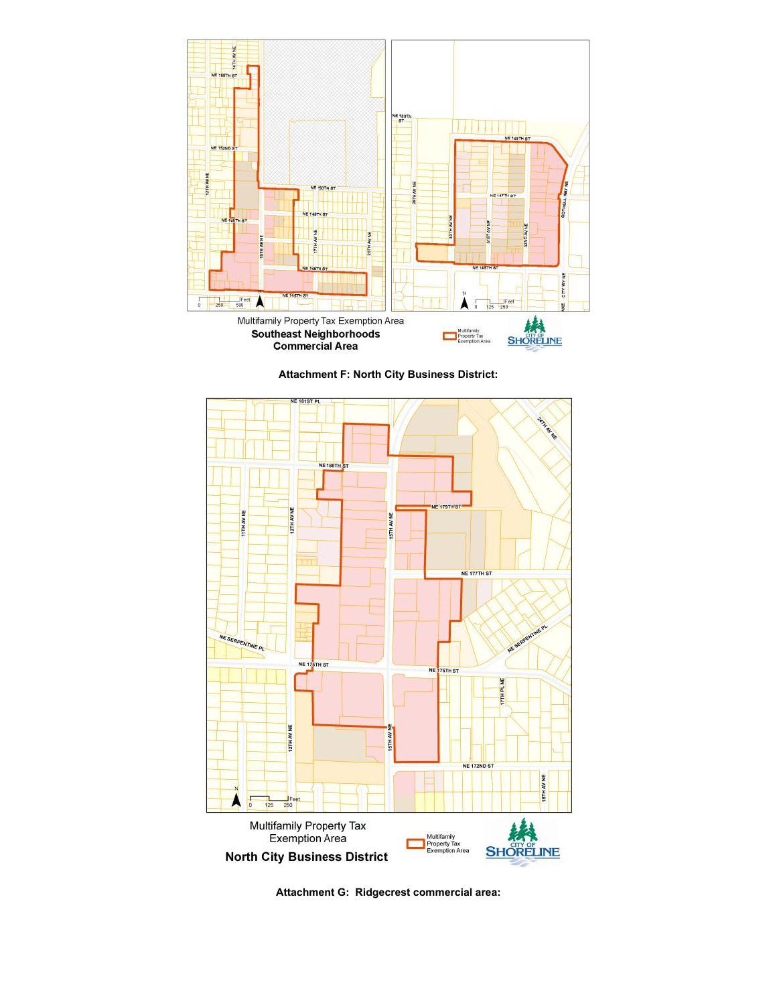





**Attachment G: Ridgecrest commercial area:**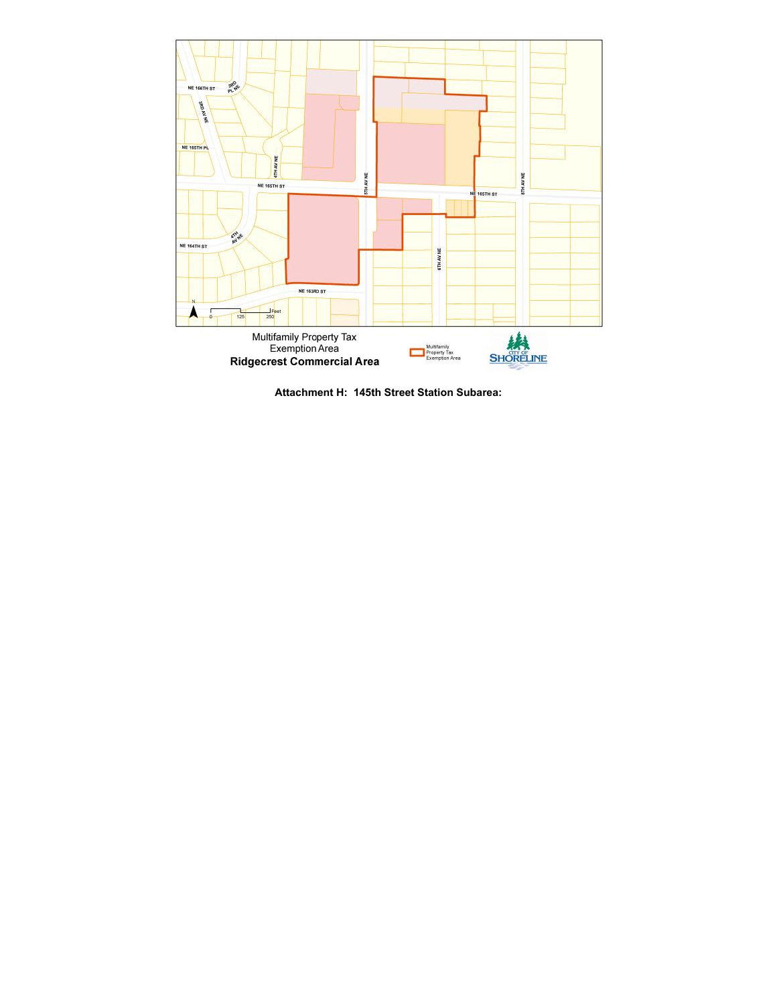

**Attachment H: 145th Street Station Subarea:**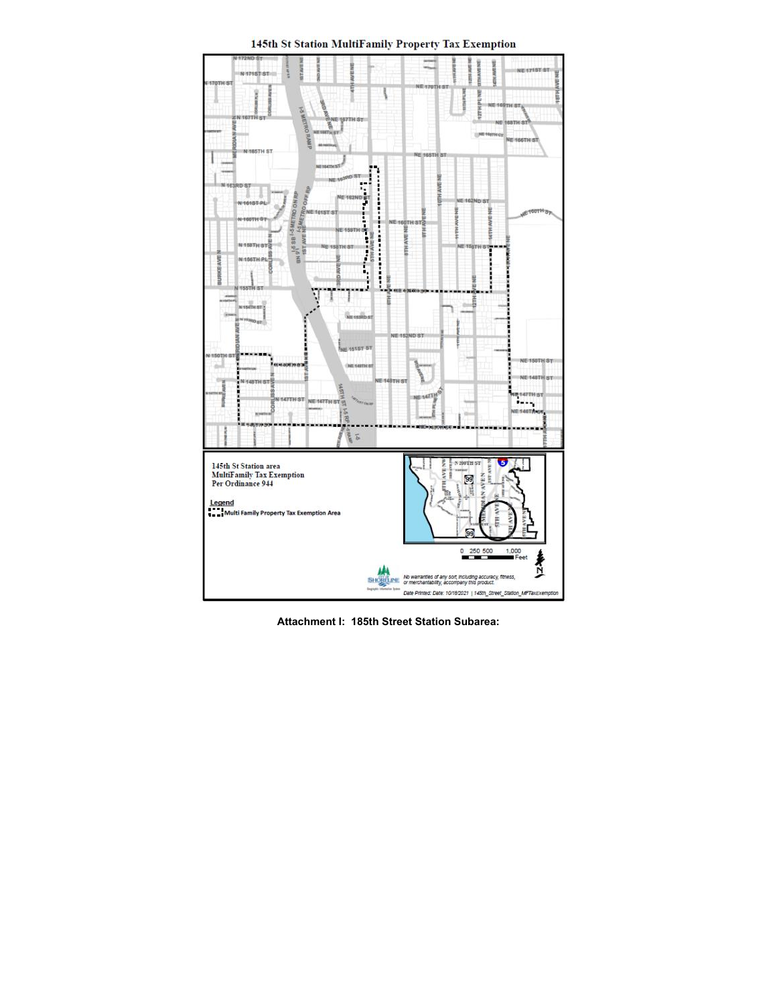145th St Station MultiFamily Property Tax Exemption



**Attachment I: 185th Street Station Subarea:**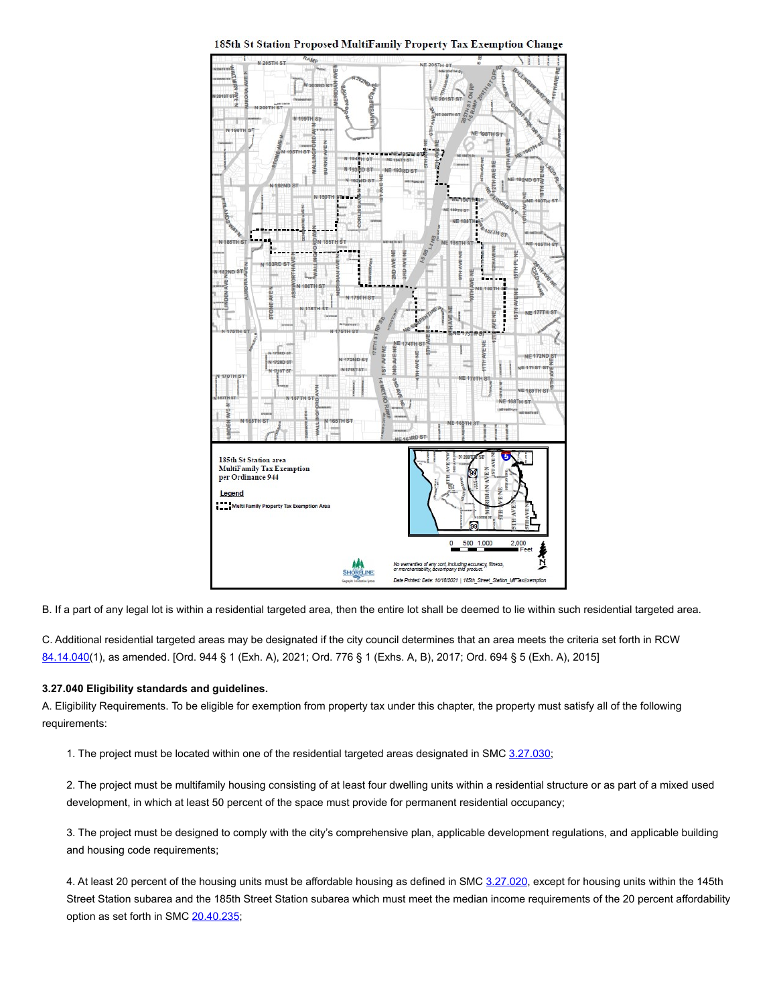

185th St Station Proposed MultiFamily Property Tax Exemption Change

B. If a part of any legal lot is within a residential targeted area, then the entire lot shall be deemed to lie within such residential targeted area.

C. Additional residential targeted areas may be designated if the city council determines that an area meets the criteria set forth in RCW [84.14.040](https://www.codepublishing.com/cgi-bin/rcw.pl?cite=84.14.040)(1), as amended. [Ord. 944 § 1 (Exh. A), 2021; Ord. 776 § 1 (Exhs. A, B), 2017; Ord. 694 § 5 (Exh. A), 2015]

## <span id="page-6-0"></span>**3.27.040 Eligibility standards and guidelines.**

A. Eligibility Requirements. To be eligible for exemption from property tax under this chapter, the property must satisfy all of the following requirements:

1. The project must be located within one of the residential targeted areas designated in SMC [3.27.030](#page-0-2);

2. The project must be multifamily housing consisting of at least four dwelling units within a residential structure or as part of a mixed used development, in which at least 50 percent of the space must provide for permanent residential occupancy;

3. The project must be designed to comply with the city's comprehensive plan, applicable development regulations, and applicable building and housing code requirements;

4. At least 20 percent of the housing units must be affordable housing as defined in SMC [3.27.020](#page-0-1), except for housing units within the 145th Street Station subarea and the 185th Street Station subarea which must meet the median income requirements of the 20 percent affordability option as set forth in SMC [20.40.235;](https://www.codepublishing.com/WA/Shoreline/html/Shoreline20/Shoreline2040.html#20.40.235)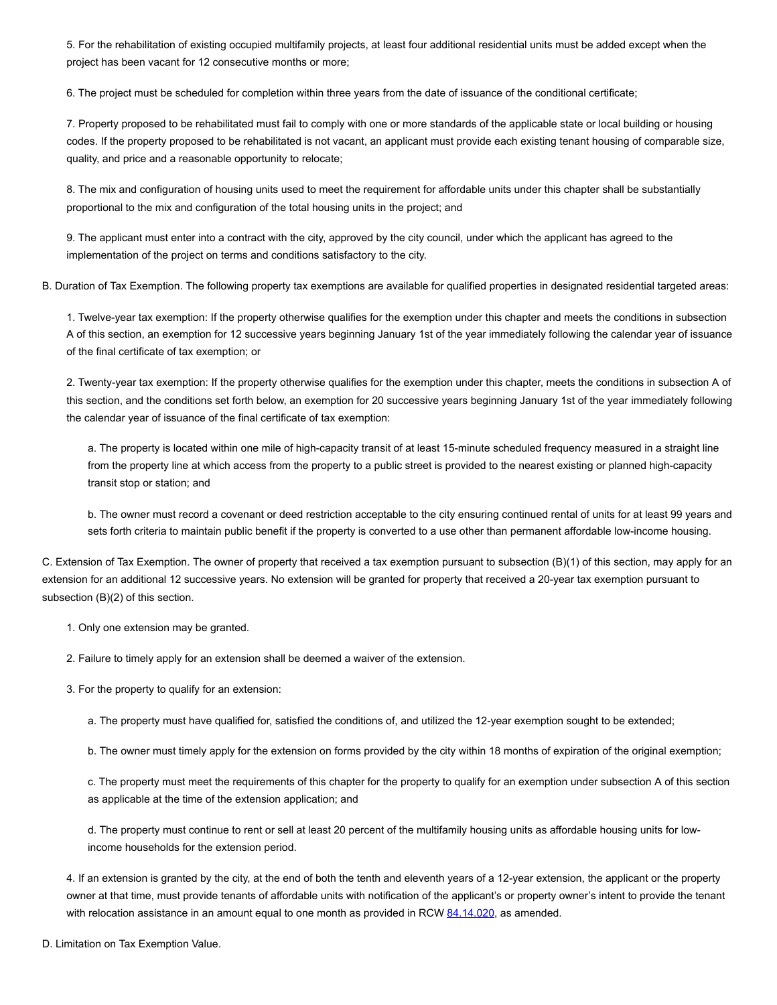5. For the rehabilitation of existing occupied multifamily projects, at least four additional residential units must be added except when the project has been vacant for 12 consecutive months or more;

6. The project must be scheduled for completion within three years from the date of issuance of the conditional certificate;

7. Property proposed to be rehabilitated must fail to comply with one or more standards of the applicable state or local building or housing codes. If the property proposed to be rehabilitated is not vacant, an applicant must provide each existing tenant housing of comparable size, quality, and price and a reasonable opportunity to relocate;

8. The mix and configuration of housing units used to meet the requirement for affordable units under this chapter shall be substantially proportional to the mix and configuration of the total housing units in the project; and

9. The applicant must enter into a contract with the city, approved by the city council, under which the applicant has agreed to the implementation of the project on terms and conditions satisfactory to the city.

B. Duration of Tax Exemption. The following property tax exemptions are available for qualified properties in designated residential targeted areas:

1. Twelve-year tax exemption: If the property otherwise qualifies for the exemption under this chapter and meets the conditions in subsection A of this section, an exemption for 12 successive years beginning January 1st of the year immediately following the calendar year of issuance of the final certificate of tax exemption; or

2. Twenty-year tax exemption: If the property otherwise qualifies for the exemption under this chapter, meets the conditions in subsection A of this section, and the conditions set forth below, an exemption for 20 successive years beginning January 1st of the year immediately following the calendar year of issuance of the final certificate of tax exemption:

a. The property is located within one mile of high-capacity transit of at least 15-minute scheduled frequency measured in a straight line from the property line at which access from the property to a public street is provided to the nearest existing or planned high-capacity transit stop or station; and

b. The owner must record a covenant or deed restriction acceptable to the city ensuring continued rental of units for at least 99 years and sets forth criteria to maintain public benefit if the property is converted to a use other than permanent affordable low-income housing.

C. Extension of Tax Exemption. The owner of property that received a tax exemption pursuant to subsection (B)(1) of this section, may apply for an extension for an additional 12 successive years. No extension will be granted for property that received a 20-year tax exemption pursuant to subsection (B)(2) of this section.

1. Only one extension may be granted.

2. Failure to timely apply for an extension shall be deemed a waiver of the extension.

3. For the property to qualify for an extension:

a. The property must have qualified for, satisfied the conditions of, and utilized the 12-year exemption sought to be extended;

b. The owner must timely apply for the extension on forms provided by the city within 18 months of expiration of the original exemption;

c. The property must meet the requirements of this chapter for the property to qualify for an exemption under subsection A of this section as applicable at the time of the extension application; and

d. The property must continue to rent or sell at least 20 percent of the multifamily housing units as affordable housing units for lowincome households for the extension period.

4. If an extension is granted by the city, at the end of both the tenth and eleventh years of a 12-year extension, the applicant or the property owner at that time, must provide tenants of affordable units with notification of the applicant's or property owner's intent to provide the tenant with relocation assistance in an amount equal to one month as provided in RCW [84.14.020](https://www.codepublishing.com/cgi-bin/rcw.pl?cite=84.14.020), as amended.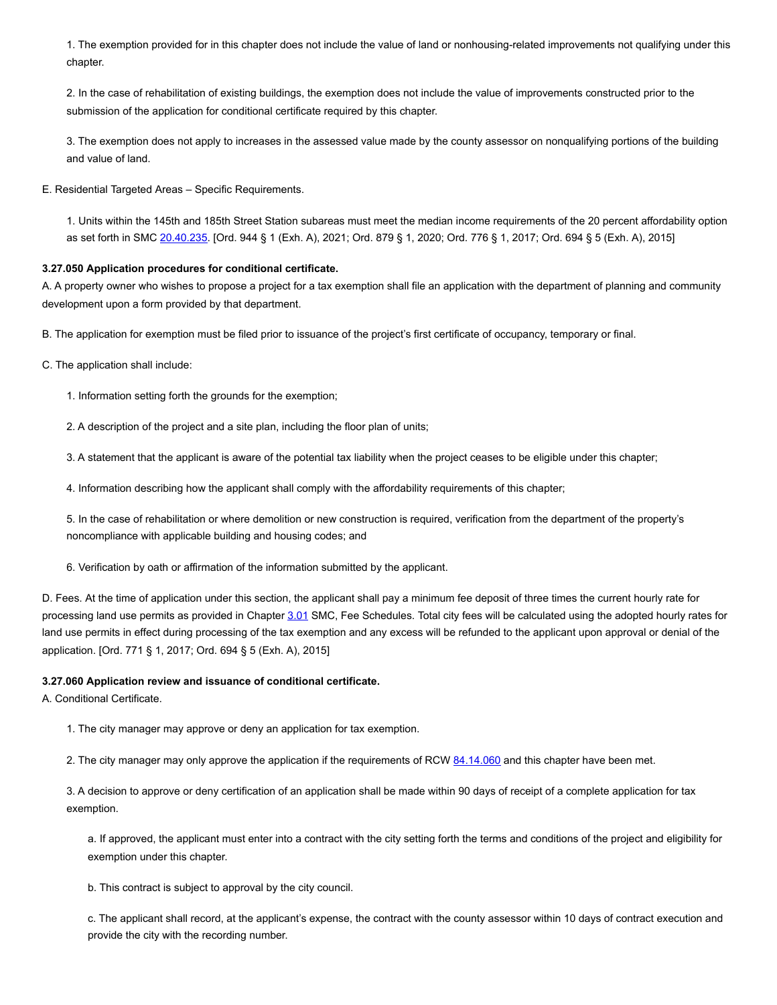1. The exemption provided for in this chapter does not include the value of land or nonhousing-related improvements not qualifying under this chapter.

2. In the case of rehabilitation of existing buildings, the exemption does not include the value of improvements constructed prior to the submission of the application for conditional certificate required by this chapter.

3. The exemption does not apply to increases in the assessed value made by the county assessor on nonqualifying portions of the building and value of land.

E. Residential Targeted Areas – Specific Requirements.

1. Units within the 145th and 185th Street Station subareas must meet the median income requirements of the 20 percent affordability option as set forth in SMC [20.40.235](https://www.codepublishing.com/WA/Shoreline/html/Shoreline20/Shoreline2040.html#20.40.235). [Ord. 944 § 1 (Exh. A), 2021; Ord. 879 § 1, 2020; Ord. 776 § 1, 2017; Ord. 694 § 5 (Exh. A), 2015]

## <span id="page-8-0"></span>**3.27.050 Application procedures for conditional certificate.**

A. A property owner who wishes to propose a project for a tax exemption shall file an application with the department of planning and community development upon a form provided by that department.

B. The application for exemption must be filed prior to issuance of the project's first certificate of occupancy, temporary or final.

C. The application shall include:

1. Information setting forth the grounds for the exemption;

2. A description of the project and a site plan, including the floor plan of units;

3. A statement that the applicant is aware of the potential tax liability when the project ceases to be eligible under this chapter;

4. Information describing how the applicant shall comply with the affordability requirements of this chapter;

5. In the case of rehabilitation or where demolition or new construction is required, verification from the department of the property's noncompliance with applicable building and housing codes; and

6. Verification by oath or affirmation of the information submitted by the applicant.

D. Fees. At the time of application under this section, the applicant shall pay a minimum fee deposit of three times the current hourly rate for processing land use permits as provided in Chapter [3.01](https://www.codepublishing.com/WA/Shoreline/html/Shoreline03/Shoreline0301.html#3.01) SMC, Fee Schedules. Total city fees will be calculated using the adopted hourly rates for land use permits in effect during processing of the tax exemption and any excess will be refunded to the applicant upon approval or denial of the application. [Ord. 771 § 1, 2017; Ord. 694 § 5 (Exh. A), 2015]

#### <span id="page-8-1"></span>**3.27.060 Application review and issuance of conditional certificate.**

A. Conditional Certificate.

1. The city manager may approve or deny an application for tax exemption.

2. The city manager may only approve the application if the requirements of RCW [84.14.060](https://www.codepublishing.com/cgi-bin/rcw.pl?cite=84.14.060) and this chapter have been met.

3. A decision to approve or deny certification of an application shall be made within 90 days of receipt of a complete application for tax exemption.

a. If approved, the applicant must enter into a contract with the city setting forth the terms and conditions of the project and eligibility for exemption under this chapter.

b. This contract is subject to approval by the city council.

c. The applicant shall record, at the applicant's expense, the contract with the county assessor within 10 days of contract execution and provide the city with the recording number.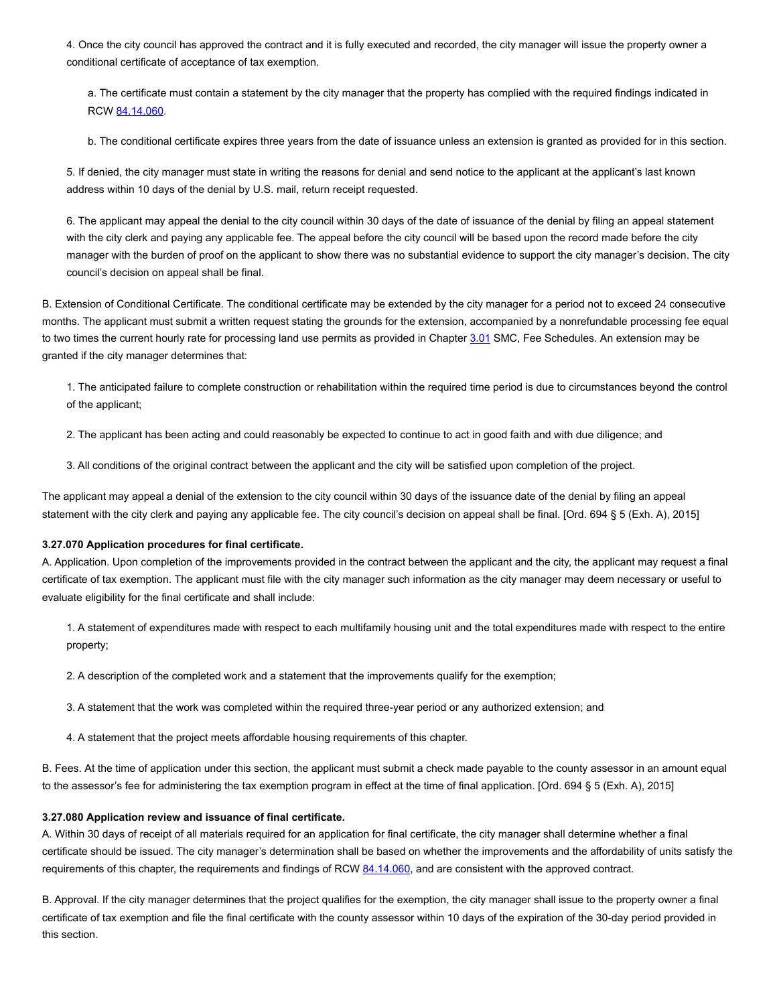4. Once the city council has approved the contract and it is fully executed and recorded, the city manager will issue the property owner a conditional certificate of acceptance of tax exemption.

a. The certificate must contain a statement by the city manager that the property has complied with the required findings indicated in RCW [84.14.060](https://www.codepublishing.com/cgi-bin/rcw.pl?cite=84.14.060).

b. The conditional certificate expires three years from the date of issuance unless an extension is granted as provided for in this section.

5. If denied, the city manager must state in writing the reasons for denial and send notice to the applicant at the applicant's last known address within 10 days of the denial by U.S. mail, return receipt requested.

6. The applicant may appeal the denial to the city council within 30 days of the date of issuance of the denial by filing an appeal statement with the city clerk and paying any applicable fee. The appeal before the city council will be based upon the record made before the city manager with the burden of proof on the applicant to show there was no substantial evidence to support the city manager's decision. The city council's decision on appeal shall be final.

B. Extension of Conditional Certificate. The conditional certificate may be extended by the city manager for a period not to exceed 24 consecutive months. The applicant must submit a written request stating the grounds for the extension, accompanied by a nonrefundable processing fee equal to two times the current hourly rate for processing land use permits as provided in Chapter [3.01](https://www.codepublishing.com/WA/Shoreline/html/Shoreline03/Shoreline0301.html#3.01) SMC, Fee Schedules. An extension may be granted if the city manager determines that:

1. The anticipated failure to complete construction or rehabilitation within the required time period is due to circumstances beyond the control of the applicant;

2. The applicant has been acting and could reasonably be expected to continue to act in good faith and with due diligence; and

3. All conditions of the original contract between the applicant and the city will be satisfied upon completion of the project.

The applicant may appeal a denial of the extension to the city council within 30 days of the issuance date of the denial by filing an appeal statement with the city clerk and paying any applicable fee. The city council's decision on appeal shall be final. [Ord. 694 § 5 (Exh. A), 2015]

#### <span id="page-9-0"></span>**3.27.070 Application procedures for final certificate.**

A. Application. Upon completion of the improvements provided in the contract between the applicant and the city, the applicant may request a final certificate of tax exemption. The applicant must file with the city manager such information as the city manager may deem necessary or useful to evaluate eligibility for the final certificate and shall include:

1. A statement of expenditures made with respect to each multifamily housing unit and the total expenditures made with respect to the entire property;

2. A description of the completed work and a statement that the improvements qualify for the exemption;

3. A statement that the work was completed within the required three-year period or any authorized extension; and

4. A statement that the project meets affordable housing requirements of this chapter.

B. Fees. At the time of application under this section, the applicant must submit a check made payable to the county assessor in an amount equal to the assessor's fee for administering the tax exemption program in effect at the time of final application. [Ord. 694 § 5 (Exh. A), 2015]

#### <span id="page-9-1"></span>**3.27.080 Application review and issuance of final certificate.**

A. Within 30 days of receipt of all materials required for an application for final certificate, the city manager shall determine whether a final certificate should be issued. The city manager's determination shall be based on whether the improvements and the affordability of units satisfy the requirements of this chapter, the requirements and findings of RCW [84.14.060,](https://www.codepublishing.com/cgi-bin/rcw.pl?cite=84.14.060) and are consistent with the approved contract.

B. Approval. If the city manager determines that the project qualifies for the exemption, the city manager shall issue to the property owner a final certificate of tax exemption and file the final certificate with the county assessor within 10 days of the expiration of the 30-day period provided in this section.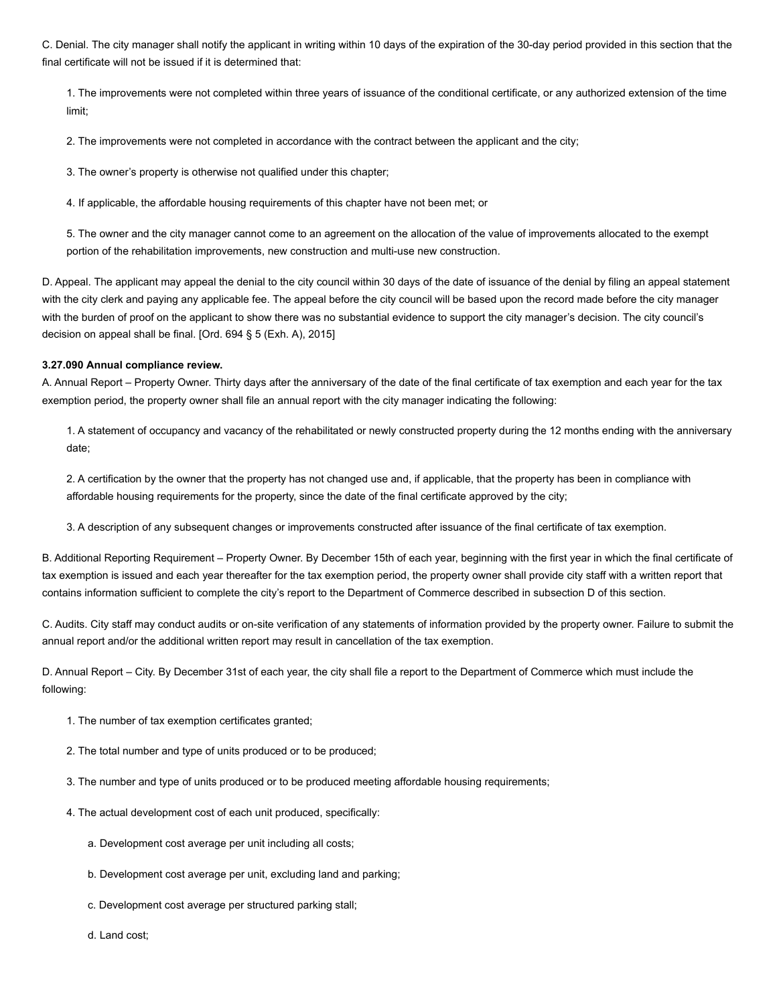C. Denial. The city manager shall notify the applicant in writing within 10 days of the expiration of the 30-day period provided in this section that the final certificate will not be issued if it is determined that:

1. The improvements were not completed within three years of issuance of the conditional certificate, or any authorized extension of the time limit;

2. The improvements were not completed in accordance with the contract between the applicant and the city;

3. The owner's property is otherwise not qualified under this chapter;

4. If applicable, the affordable housing requirements of this chapter have not been met; or

5. The owner and the city manager cannot come to an agreement on the allocation of the value of improvements allocated to the exempt portion of the rehabilitation improvements, new construction and multi-use new construction.

D. Appeal. The applicant may appeal the denial to the city council within 30 days of the date of issuance of the denial by filing an appeal statement with the city clerk and paying any applicable fee. The appeal before the city council will be based upon the record made before the city manager with the burden of proof on the applicant to show there was no substantial evidence to support the city manager's decision. The city council's decision on appeal shall be final. [Ord. 694 § 5 (Exh. A), 2015]

#### <span id="page-10-0"></span>**3.27.090 Annual compliance review.**

A. Annual Report – Property Owner. Thirty days after the anniversary of the date of the final certificate of tax exemption and each year for the tax exemption period, the property owner shall file an annual report with the city manager indicating the following:

1. A statement of occupancy and vacancy of the rehabilitated or newly constructed property during the 12 months ending with the anniversary date;

2. A certification by the owner that the property has not changed use and, if applicable, that the property has been in compliance with affordable housing requirements for the property, since the date of the final certificate approved by the city;

3. A description of any subsequent changes or improvements constructed after issuance of the final certificate of tax exemption.

B. Additional Reporting Requirement – Property Owner. By December 15th of each year, beginning with the first year in which the final certificate of tax exemption is issued and each year thereafter for the tax exemption period, the property owner shall provide city staff with a written report that contains information sufficient to complete the city's report to the Department of Commerce described in subsection D of this section.

C. Audits. City staff may conduct audits or on-site verification of any statements of information provided by the property owner. Failure to submit the annual report and/or the additional written report may result in cancellation of the tax exemption.

D. Annual Report – City. By December 31st of each year, the city shall file a report to the Department of Commerce which must include the following:

- 1. The number of tax exemption certificates granted;
- 2. The total number and type of units produced or to be produced;
- 3. The number and type of units produced or to be produced meeting affordable housing requirements;
- 4. The actual development cost of each unit produced, specifically:
	- a. Development cost average per unit including all costs;
	- b. Development cost average per unit, excluding land and parking;
	- c. Development cost average per structured parking stall;
	- d. Land cost;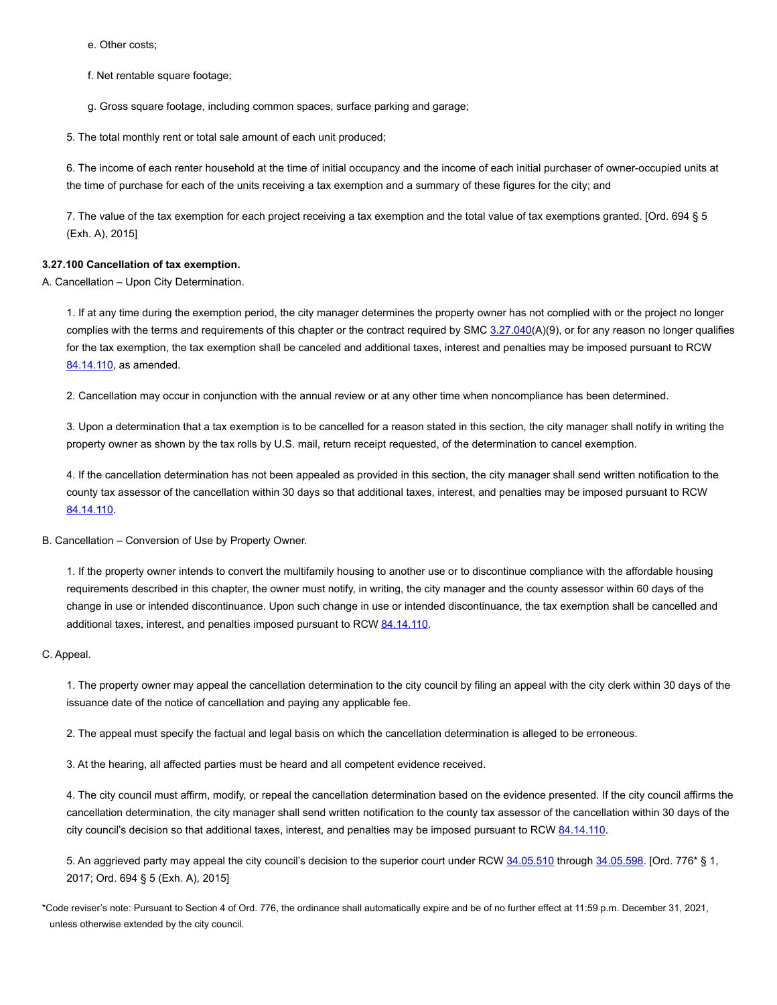e. Other costs;

f. Net rentable square footage;

g. Gross square footage, including common spaces, surface parking and garage;

5. The total monthly rent or total sale amount of each unit produced;

6. The income of each renter household at the time of initial occupancy and the income of each initial purchaser of owner-occupied units at the time of purchase for each of the units receiving a tax exemption and a summary of these figures for the city; and

7. The value of the tax exemption for each project receiving a tax exemption and the total value of tax exemptions granted. [Ord. 694 § 5 (Exh. A), 2015]

## <span id="page-11-0"></span>**3.27.100 Cancellation of tax exemption.**

A. Cancellation – Upon City Determination.

1. If at any time during the exemption period, the city manager determines the property owner has not complied with or the project no longer complies with the terms and requirements of this chapter or the contract required by SMC [3.27.040\(](#page-6-0)A)(9), or for any reason no longer qualifies for the tax exemption, the tax exemption shall be canceled and additional taxes, interest and penalties may be imposed pursuant to RCW [84.14.110](https://www.codepublishing.com/cgi-bin/rcw.pl?cite=84.14.110), as amended.

2. Cancellation may occur in conjunction with the annual review or at any other time when noncompliance has been determined.

3. Upon a determination that a tax exemption is to be cancelled for a reason stated in this section, the city manager shall notify in writing the property owner as shown by the tax rolls by U.S. mail, return receipt requested, of the determination to cancel exemption.

4. If the cancellation determination has not been appealed as provided in this section, the city manager shall send written notification to the county tax assessor of the cancellation within 30 days so that additional taxes, interest, and penalties may be imposed pursuant to RCW [84.14.110](https://www.codepublishing.com/cgi-bin/rcw.pl?cite=84.14.110).

B. Cancellation – Conversion of Use by Property Owner.

1. If the property owner intends to convert the multifamily housing to another use or to discontinue compliance with the affordable housing requirements described in this chapter, the owner must notify, in writing, the city manager and the county assessor within 60 days of the change in use or intended discontinuance. Upon such change in use or intended discontinuance, the tax exemption shall be cancelled and additional taxes, interest, and penalties imposed pursuant to RCW [84.14.110.](https://www.codepublishing.com/cgi-bin/rcw.pl?cite=84.14.110)

#### C. Appeal.

1. The property owner may appeal the cancellation determination to the city council by filing an appeal with the city clerk within 30 days of the issuance date of the notice of cancellation and paying any applicable fee.

2. The appeal must specify the factual and legal basis on which the cancellation determination is alleged to be erroneous.

3. At the hearing, all affected parties must be heard and all competent evidence received.

4. The city council must affirm, modify, or repeal the cancellation determination based on the evidence presented. If the city council affirms the cancellation determination, the city manager shall send written notification to the county tax assessor of the cancellation within 30 days of the city council's decision so that additional taxes, interest, and penalties may be imposed pursuant to RCW [84.14.110](https://www.codepublishing.com/cgi-bin/rcw.pl?cite=84.14.110).

5. An aggrieved party may appeal the city council's decision to the superior court under RCW [34.05.510](https://www.codepublishing.com/cgi-bin/rcw.pl?cite=34.05.510) through [34.05.598.](https://www.codepublishing.com/cgi-bin/rcw.pl?cite=34.05.598) [Ord. 776\* § 1, 2017; Ord. 694 § 5 (Exh. A), 2015]

\*Code reviser's note: Pursuant to Section 4 of Ord. 776, the ordinance shall automatically expire and be of no further effect at 11:59 p.m. December 31, 2021, unless otherwise extended by the city council.